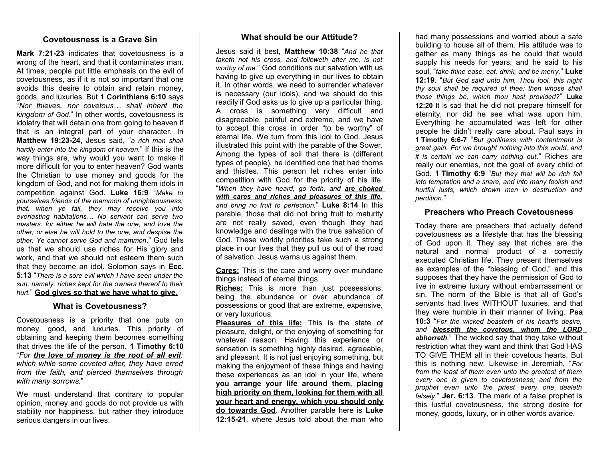# **Covetousness is a Grave Sin**

**Mark 7:21-23** indicates that covetousness is a wrong of the heart, and that it contaminates man. At times, people put little emphasis on the evil of covetousness, as if it is not so important that one avoids this desire to obtain and retain money, goods, and luxuries. But **1 Corinthians 6:10** says "*Nor thieves, nor covetous… shall inherit the kingdom of God.*" In other words, covetousness is idolatry that will detain one from going to heaven if that is an integral part of your character. In **Matthew 19:23-24**, Jesus said, "*a rich man shall hardly enter into the kingdom of heaven.*" If this is the way things are, why would you want to make it more difficult for you to enter heaven? God wants the Christian to use money and goods for the kingdom of God, and not for making them idols in competition against God. **Luke 16:9** "*Make to yourselves friends of the mammon of unrighteousness; that, when ye fail, they may receive you into everlasting habitations… No servant can serve two masters: for either he will hate the one, and love the other; or else he will hold to the one, and despise the other. Ye cannot serve God and mammon.*" God tells us that we should use riches for His glory and work, and that we should not esteem them such that they become an idol. Solomon says in **Ecc. 5:13** "*There is a sore evil which I have seen under the sun, namely, riches kept for the owners thereof to their hurt.*" **God gives so that we have what to give.**

## **What is Covetousness?**

Covetousness is a priority that one puts on money, good, and luxuries. This priority of obtaining and keeping them becomes something that drives the life of the person. **1 Timothy 6:10** "*For the love of money is the root of all evil: which while some coveted after, they have erred from the faith, and pierced themselves through with many sorrows.*"

We must understand that contrary to popular opinion, money and goods do not provide us with stability nor happiness, but rather they introduce serious dangers in our lives.

### **What should be our Attitude?**

Jesus said it best, **Matthew 10:38** "*And he that taketh not his cross, and followeth after me, is not worthy of me.*" God conditions our salvation with us having to give up everything in our lives to obtain it. In other words, we need to surrender whatever is necessary (our idols), and we should do this readily if God asks us to give up a particular thing. A cross is something very difficult and disagreeable, painful and extreme, and we have to accept this cross in order "to be worthy" of eternal life. We turn from this idol to God. Jesus illustrated this point with the parable of the Sower. Among the types of soil that there is (different types of people), he identified one that had thorns and thistles. This person let riches enter into competition with God for the priority of his life. "*When they have heard, go forth, and are choked with cares and riches and pleasures of this life, and bring no fruit to perfection.*" **Luke 8:14** In this parable, those that did not bring fruit to maturity are not really saved, even though they had knowledge and dealings with the true salvation of God. These worldly priorities take such a strong place in our lives that they pull us out of the road of salvation. Jesus warns us against them.

**Cares:** This is the care and worry over mundane things instead of eternal things.

**Riches:** This is more than just possessions, being the abundance or over abundance of possessions or good that are extreme, expensive, or very luxurious.

**Pleasures of this life:** This is the state of pleasure, delight, or the enjoying of something for whatever reason. Having this experience or sensation is something highly desired, agreeable, and pleasant. It is not just enjoying something, but making the enjoyment of these things and having these experiences as an idol in your life, where **you arrange your life around them, placing high priority on them, looking for them with all your heart and energy, which you should only do towards God**. Another parable here is **Luke 12:15-21**, where Jesus told about the man who

had many possessions and worried about a safe building to house all of them. His attitude was to gather as many things as he could that would supply his needs for years, and he said to his soul, "*take thine ease, eat, drink, and be merry.*" **Luke 12:19**. "*But God said unto him, Thou fool, this night thy soul shall be required of thee: then whose shall those things be, which thou hast provided?*" **Luke 12:20** It is sad that he did not prepare himself for eternity, nor did he see what was upon him. Everything he accumulated was left for other people he didn't really care about. Paul says in **1 Timothy 6:6-7** "*But godliness with contentment is great gain. For we brought nothing into this world, and it is certain we can carry nothing out*." Riches are really our enemies, not the goal of every child of God. **1 Timothy 6:9** "*But they that will be rich fall into temptation and a snare, and into many foolish and hurtful lusts, which drown men in destruction and perdition.*"

### **Preachers who Preach Covetousness**

Today there are preachers that actually defend covetousness as a lifestyle that has the blessing of God upon it. They say that riches are the natural and normal product of a correctly executed Christian life. They present themselves as examples of the "blessing of God," and this supposes that they have the permission of God to live in extreme luxury without embarrassment or sin. The norm of the Bible is that all of God's servants had lives WITHOUT luxuries, and that they were humble in their manner of living. **Psa 10:3** "*For the wicked boasteth of his heart's desire, and blesseth the covetous, whom the LORD abhorreth.*" The wicked say that they take without restriction what they want and think that God HAS TO GIVE THEM all in their covetous hearts. But this is nothing new. Likewise in Jeremiah, "*For from the least of them even unto the greatest of them every one is given to covetousness; and from the prophet even unto the priest every one dealeth falsely.*" **Jer. 6:13**. The mark of a false prophet is this lustful covetousness, the strong desire for money, goods, luxury, or in other words avarice.